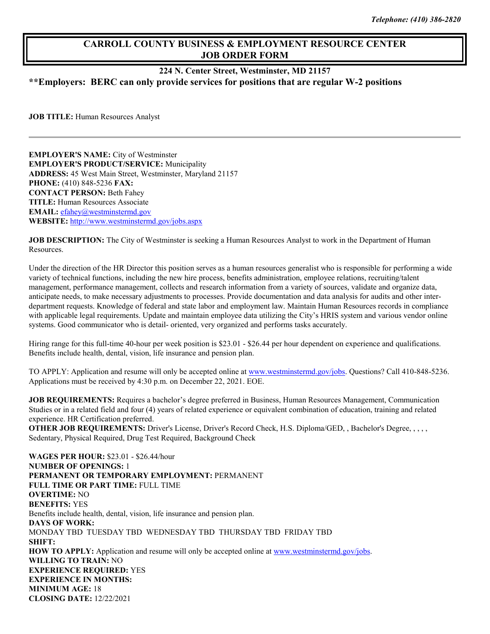## **CARROLL COUNTY BUSINESS & EMPLOYMENT RESOURCE CENTER JOB ORDER FORM**

## **224 N. Center Street, Westminster, MD 21157**

**\*\*Employers: BERC can only provide services for positions that are regular W-2 positions**

**JOB TITLE:** Human Resources Analyst

**EMPLOYER'S NAME:** City of Westminster **EMPLOYER'S PRODUCT/SERVICE:** Municipality **ADDRESS:** 45 West Main Street, Westminster, Maryland 21157 **PHONE:** (410) 848-5236 **FAX: CONTACT PERSON:** Beth Fahey **TITLE:** Human Resources Associate **EMAIL:** [efahey@westminstermd.gov](mailto:efahey@westminstermd.gov) **WEBSITE:** <http://www.westminstermd.gov/jobs.aspx>

**JOB DESCRIPTION:** The City of Westminster is seeking a Human Resources Analyst to work in the Department of Human Resources.

Under the direction of the HR Director this position serves as a human resources generalist who is responsible for performing a wide variety of technical functions, including the new hire process, benefits administration, employee relations, recruiting/talent management, performance management, collects and research information from a variety of sources, validate and organize data, anticipate needs, to make necessary adjustments to processes. Provide documentation and data analysis for audits and other interdepartment requests. Knowledge of federal and state labor and employment law. Maintain Human Resources records in compliance with applicable legal requirements. Update and maintain employee data utilizing the City's HRIS system and various vendor online systems. Good communicator who is detail- oriented, very organized and performs tasks accurately.

Hiring range for this full-time 40-hour per week position is \$23.01 - \$26.44 per hour dependent on experience and qualifications. Benefits include health, dental, vision, life insurance and pension plan.

TO APPLY: Application and resume will only be accepted online at [www.westminstermd.gov/jobs.](http://www.westminstermd.gov/jobs) Questions? Call 410-848-5236. Applications must be received by 4:30 p.m. on December 22, 2021. EOE.

**JOB REQUIREMENTS:** Requires a bachelor's degree preferred in Business, Human Resources Management, Communication Studies or in a related field and four (4) years of related experience or equivalent combination of education, training and related experience. HR Certification preferred.

**OTHER JOB REQUIREMENTS:** Driver's License, Driver's Record Check, H.S. Diploma/GED, , Bachelor's Degree, , , , , Sedentary, Physical Required, Drug Test Required, Background Check

**WAGES PER HOUR:** \$23.01 - \$26.44/hour **NUMBER OF OPENINGS:** 1 **PERMANENT OR TEMPORARY EMPLOYMENT:** PERMANENT **FULL TIME OR PART TIME:** FULL TIME **OVERTIME:** NO **BENEFITS:** YES Benefits include health, dental, vision, life insurance and pension plan. **DAYS OF WORK:** MONDAY TBD TUESDAY TBD WEDNESDAY TBD THURSDAY TBD FRIDAY TBD **SHIFT: HOW TO APPLY:** Application and resume will only be accepted online at [www.westminstermd.gov/jobs.](http://www.westminstermd.gov/jobs) **WILLING TO TRAIN:** NO **EXPERIENCE REQUIRED:** YES **EXPERIENCE IN MONTHS: MINIMUM AGE:** 18 **CLOSING DATE:** 12/22/2021